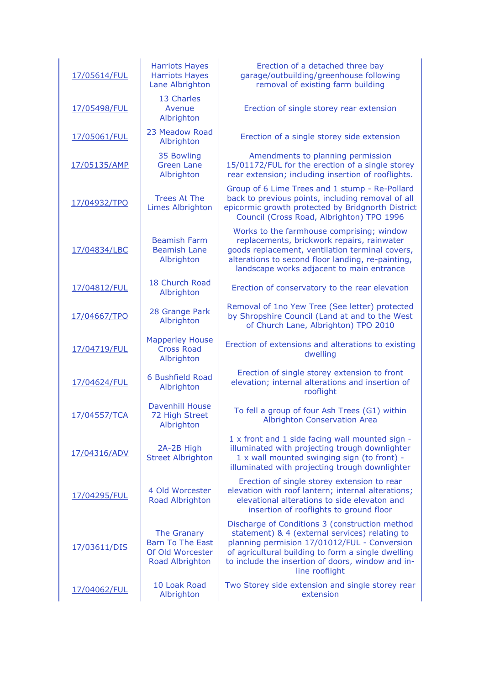| 17/05614/FUL | <b>Harriots Hayes</b><br><b>Harriots Hayes</b><br>Lane Albrighton             | Erection of a detached three bay<br>garage/outbuilding/greenhouse following<br>removal of existing farm building                                                                                                                                                              |
|--------------|-------------------------------------------------------------------------------|-------------------------------------------------------------------------------------------------------------------------------------------------------------------------------------------------------------------------------------------------------------------------------|
| 17/05498/FUL | 13 Charles<br>Avenue<br>Albrighton                                            | Erection of single storey rear extension                                                                                                                                                                                                                                      |
| 17/05061/FUL | 23 Meadow Road<br>Albrighton                                                  | Erection of a single storey side extension                                                                                                                                                                                                                                    |
| 17/05135/AMP | 35 Bowling<br><b>Green Lane</b><br>Albrighton                                 | Amendments to planning permission<br>15/01172/FUL for the erection of a single storey<br>rear extension; including insertion of rooflights.                                                                                                                                   |
| 17/04932/TPO | <b>Trees At The</b><br><b>Limes Albrighton</b>                                | Group of 6 Lime Trees and 1 stump - Re-Pollard<br>back to previous points, including removal of all<br>epicormic growth protected by Bridgnorth District<br>Council (Cross Road, Albrighton) TPO 1996                                                                         |
| 17/04834/LBC | <b>Beamish Farm</b><br><b>Beamish Lane</b><br>Albrighton                      | Works to the farmhouse comprising; window<br>replacements, brickwork repairs, rainwater<br>goods replacement, ventilation terminal covers,<br>alterations to second floor landing, re-painting,<br>landscape works adjacent to main entrance                                  |
| 17/04812/FUL | 18 Church Road<br>Albrighton                                                  | Erection of conservatory to the rear elevation                                                                                                                                                                                                                                |
| 17/04667/TPO | 28 Grange Park<br>Albrighton                                                  | Removal of 1no Yew Tree (See letter) protected<br>by Shropshire Council (Land at and to the West<br>of Church Lane, Albrighton) TPO 2010                                                                                                                                      |
| 17/04719/FUL | <b>Mapperley House</b><br><b>Cross Road</b><br>Albrighton                     | Erection of extensions and alterations to existing<br>dwelling                                                                                                                                                                                                                |
| 17/04624/FUL | 6 Bushfield Road<br>Albrighton                                                | Erection of single storey extension to front<br>elevation; internal alterations and insertion of<br>rooflight                                                                                                                                                                 |
| 17/04557/TCA | <b>Davenhill House</b><br>72 High Street<br>Albrighton                        | To fell a group of four Ash Trees (G1) within<br>Albrighton Conservation Area                                                                                                                                                                                                 |
| 17/04316/ADV | 2A-2B High<br><b>Street Albrighton</b>                                        | 1 x front and 1 side facing wall mounted sign -<br>illuminated with projecting trough downlighter<br>1 x wall mounted swinging sign (to front) -<br>illuminated with projecting trough downlighter                                                                            |
| 17/04295/FUL | 4 Old Worcester<br>Road Albrighton                                            | Erection of single storey extension to rear<br>elevation with roof lantern; internal alterations;<br>elevational alterations to side elevaton and<br>insertion of rooflights to ground floor                                                                                  |
| 17/03611/DIS | The Granary<br><b>Barn To The East</b><br>Of Old Worcester<br>Road Albrighton | Discharge of Conditions 3 (construction method<br>statement) & 4 (external services) relating to<br>planning permision 17/01012/FUL - Conversion<br>of agricultural building to form a single dwelling<br>to include the insertion of doors, window and in-<br>line rooflight |
| 17/04062/FUL | 10 Loak Road<br>Albrighton                                                    | Two Storey side extension and single storey rear<br>extension                                                                                                                                                                                                                 |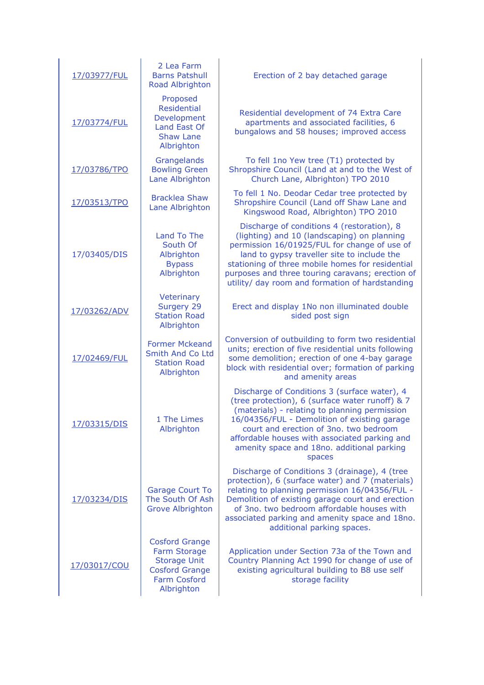| 17/03977/FUL | 2 Lea Farm<br><b>Barns Patshull</b><br>Road Albrighton                                                                     | Erection of 2 bay detached garage                                                                                                                                                                                                                                                                                                                   |
|--------------|----------------------------------------------------------------------------------------------------------------------------|-----------------------------------------------------------------------------------------------------------------------------------------------------------------------------------------------------------------------------------------------------------------------------------------------------------------------------------------------------|
| 17/03774/FUL | Proposed<br><b>Residential</b><br>Development<br>Land East Of<br><b>Shaw Lane</b><br>Albrighton                            | Residential development of 74 Extra Care<br>apartments and associated facilities, 6<br>bungalows and 58 houses; improved access                                                                                                                                                                                                                     |
| 17/03786/TPO | Grangelands<br><b>Bowling Green</b><br>Lane Albrighton                                                                     | To fell 1no Yew tree (T1) protected by<br>Shropshire Council (Land at and to the West of<br>Church Lane, Albrighton) TPO 2010                                                                                                                                                                                                                       |
| 17/03513/TPO | <b>Bracklea Shaw</b><br>Lane Albrighton                                                                                    | To fell 1 No. Deodar Cedar tree protected by<br>Shropshire Council (Land off Shaw Lane and<br>Kingswood Road, Albrighton) TPO 2010                                                                                                                                                                                                                  |
| 17/03405/DIS | Land To The<br>South Of<br>Albrighton<br><b>Bypass</b><br>Albrighton                                                       | Discharge of conditions 4 (restoration), 8<br>(lighting) and 10 (landscaping) on planning<br>permission 16/01925/FUL for change of use of<br>land to gypsy traveller site to include the<br>stationing of three mobile homes for residential<br>purposes and three touring caravans; erection of<br>utility/ day room and formation of hardstanding |
| 17/03262/ADV | Veterinary<br>Surgery 29<br><b>Station Road</b><br>Albrighton                                                              | Erect and display 1No non illuminated double<br>sided post sign                                                                                                                                                                                                                                                                                     |
| 17/02469/FUL | <b>Former Mckeand</b><br>Smith And Co Ltd<br><b>Station Road</b><br>Albrighton                                             | Conversion of outbuilding to form two residential<br>units; erection of five residential units following<br>some demolition; erection of one 4-bay garage<br>block with residential over; formation of parking<br>and amenity areas                                                                                                                 |
| 17/03315/DIS | 1 The Limes<br>Albrighton                                                                                                  | Discharge of Conditions 3 (surface water), 4<br>(tree protection), 6 (surface water runoff) & 7<br>(materials) - relating to planning permission<br>16/04356/FUL - Demolition of existing garage<br>court and erection of 3no. two bedroom<br>affordable houses with associated parking and<br>amenity space and 18no. additional parking<br>spaces |
| 17/03234/DIS | <b>Garage Court To</b><br>The South Of Ash<br><b>Grove Albrighton</b>                                                      | Discharge of Conditions 3 (drainage), 4 (tree<br>protection), 6 (surface water) and 7 (materials)<br>relating to planning permission 16/04356/FUL -<br>Demolition of existing garage court and erection<br>of 3no. two bedroom affordable houses with<br>associated parking and amenity space and 18no.<br>additional parking spaces.               |
| 17/03017/COU | <b>Cosford Grange</b><br>Farm Storage<br><b>Storage Unit</b><br><b>Cosford Grange</b><br><b>Farm Cosford</b><br>Albrighton | Application under Section 73a of the Town and<br>Country Planning Act 1990 for change of use of<br>existing agricultural building to B8 use self<br>storage facility                                                                                                                                                                                |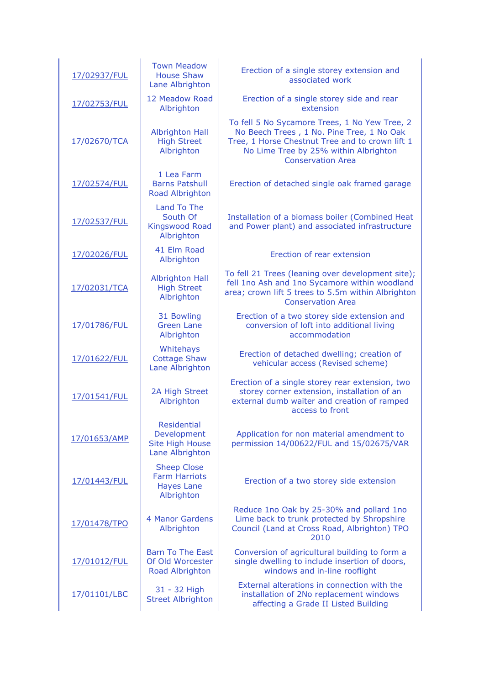| 17/02937/FUL | <b>Town Meadow</b><br><b>House Shaw</b><br>Lane Albrighton                    | Erection of a single storey extension and<br>associated work                                                                                                                                                       |
|--------------|-------------------------------------------------------------------------------|--------------------------------------------------------------------------------------------------------------------------------------------------------------------------------------------------------------------|
| 17/02753/FUL | 12 Meadow Road<br>Albrighton                                                  | Erection of a single storey side and rear<br>extension                                                                                                                                                             |
| 17/02670/TCA | <b>Albrighton Hall</b><br><b>High Street</b><br>Albrighton                    | To fell 5 No Sycamore Trees, 1 No Yew Tree, 2<br>No Beech Trees, 1 No. Pine Tree, 1 No Oak<br>Tree, 1 Horse Chestnut Tree and to crown lift 1<br>No Lime Tree by 25% within Albrighton<br><b>Conservation Area</b> |
| 17/02574/FUL | 1 Lea Farm<br><b>Barns Patshull</b><br>Road Albrighton                        | Erection of detached single oak framed garage                                                                                                                                                                      |
| 17/02537/FUL | <b>Land To The</b><br>South Of<br><b>Kingswood Road</b><br>Albrighton         | Installation of a biomass boiler (Combined Heat<br>and Power plant) and associated infrastructure                                                                                                                  |
| 17/02026/FUL | 41 Elm Road<br>Albrighton                                                     | Erection of rear extension                                                                                                                                                                                         |
| 17/02031/TCA | <b>Albrighton Hall</b><br><b>High Street</b><br>Albrighton                    | To fell 21 Trees (leaning over development site);<br>fell 1no Ash and 1no Sycamore within woodland<br>area; crown lift 5 trees to 5.5m within Albrighton<br><b>Conservation Area</b>                               |
| 17/01786/FUL | 31 Bowling<br><b>Green Lane</b><br>Albrighton                                 | Erection of a two storey side extension and<br>conversion of loft into additional living<br>accommodation                                                                                                          |
| 17/01622/FUL | Whitehays<br><b>Cottage Shaw</b><br>Lane Albrighton                           | Erection of detached dwelling; creation of<br>vehicular access (Revised scheme)                                                                                                                                    |
| 17/01541/FUL | 2A High Street<br>Albrighton                                                  | Erection of a single storey rear extension, two<br>storey corner extension, installation of an<br>external dumb waiter and creation of ramped<br>access to front                                                   |
| 17/01653/AMP | Residential<br>Development<br><b>Site High House</b><br>Lane Albrighton       | Application for non material amendment to<br>permission 14/00622/FUL and 15/02675/VAR                                                                                                                              |
| 17/01443/FUL | <b>Sheep Close</b><br><b>Farm Harriots</b><br><b>Hayes Lane</b><br>Albrighton | Erection of a two storey side extension                                                                                                                                                                            |
| 17/01478/TPO | 4 Manor Gardens<br>Albrighton                                                 | Reduce 1no Oak by 25-30% and pollard 1no<br>Lime back to trunk protected by Shropshire<br>Council (Land at Cross Road, Albrighton) TPO<br>2010                                                                     |
| 17/01012/FUL | <b>Barn To The East</b><br>Of Old Worcester<br>Road Albrighton                | Conversion of agricultural building to form a<br>single dwelling to include insertion of doors,<br>windows and in-line rooflight                                                                                   |
| 17/01101/LBC | 31 - 32 High<br><b>Street Albrighton</b>                                      | External alterations in connection with the<br>installation of 2No replacement windows<br>affecting a Grade II Listed Building                                                                                     |